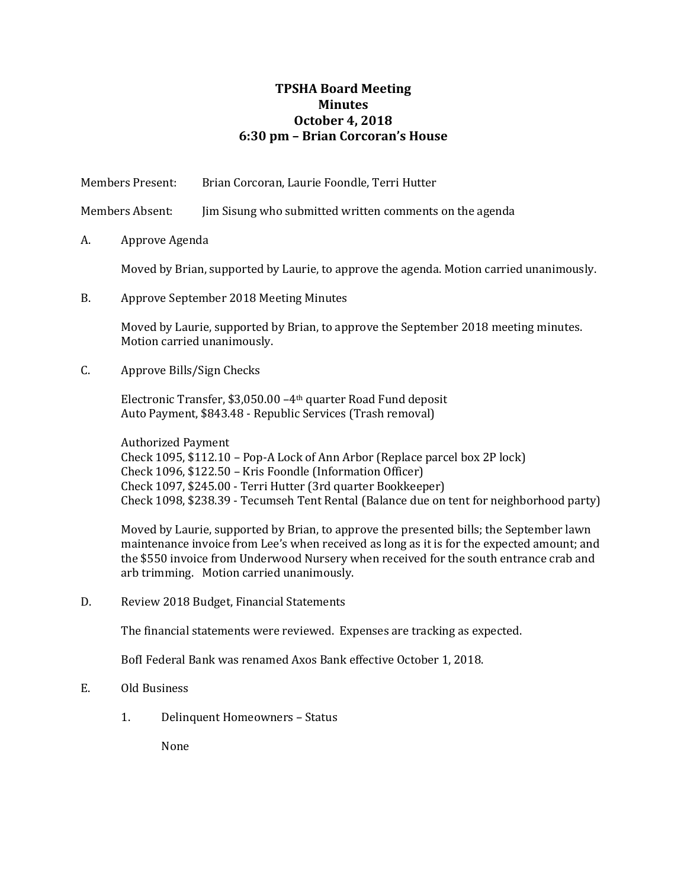## **TPSHA Board Meeting Minutes October 4, 2018 6:30 pm – Brian Corcoran's House**

| Members Present: |                                                                                                                                                                                                                                                                                                                                   | Brian Corcoran, Laurie Foondle, Terri Hutter                                                                                                                                                                                                                                                                                 |  |
|------------------|-----------------------------------------------------------------------------------------------------------------------------------------------------------------------------------------------------------------------------------------------------------------------------------------------------------------------------------|------------------------------------------------------------------------------------------------------------------------------------------------------------------------------------------------------------------------------------------------------------------------------------------------------------------------------|--|
| Members Absent:  |                                                                                                                                                                                                                                                                                                                                   | Jim Sisung who submitted written comments on the agenda                                                                                                                                                                                                                                                                      |  |
| A.               | Approve Agenda                                                                                                                                                                                                                                                                                                                    |                                                                                                                                                                                                                                                                                                                              |  |
|                  | Moved by Brian, supported by Laurie, to approve the agenda. Motion carried unanimously.                                                                                                                                                                                                                                           |                                                                                                                                                                                                                                                                                                                              |  |
| <b>B.</b>        | Approve September 2018 Meeting Minutes                                                                                                                                                                                                                                                                                            |                                                                                                                                                                                                                                                                                                                              |  |
|                  | Moved by Laurie, supported by Brian, to approve the September 2018 meeting minutes.<br>Motion carried unanimously.                                                                                                                                                                                                                |                                                                                                                                                                                                                                                                                                                              |  |
| C.               | Approve Bills/Sign Checks                                                                                                                                                                                                                                                                                                         |                                                                                                                                                                                                                                                                                                                              |  |
|                  | Electronic Transfer, \$3,050.00 -4th quarter Road Fund deposit<br>Auto Payment, \$843.48 - Republic Services (Trash removal)                                                                                                                                                                                                      |                                                                                                                                                                                                                                                                                                                              |  |
|                  | <b>Authorized Payment</b><br>Check 1095, \$112.10 - Pop-A Lock of Ann Arbor (Replace parcel box 2P lock)<br>Check 1096, \$122.50 - Kris Foondle (Information Officer)<br>Check 1097, \$245.00 - Terri Hutter (3rd quarter Bookkeeper)<br>Check 1098, \$238.39 - Tecumseh Tent Rental (Balance due on tent for neighborhood party) |                                                                                                                                                                                                                                                                                                                              |  |
|                  |                                                                                                                                                                                                                                                                                                                                   | Moved by Laurie, supported by Brian, to approve the presented bills; the September lawn<br>maintenance invoice from Lee's when received as long as it is for the expected amount; and<br>the \$550 invoice from Underwood Nursery when received for the south entrance crab and<br>arb trimming. Motion carried unanimously. |  |
| D.               |                                                                                                                                                                                                                                                                                                                                   | Review 2018 Budget, Financial Statements                                                                                                                                                                                                                                                                                     |  |
|                  |                                                                                                                                                                                                                                                                                                                                   | The financial statements were reviewed. Expenses are tracking as expected.                                                                                                                                                                                                                                                   |  |

BofI Federal Bank was renamed Axos Bank effective October 1, 2018.

## E. Old Business

1. Delinquent Homeowners – Status

None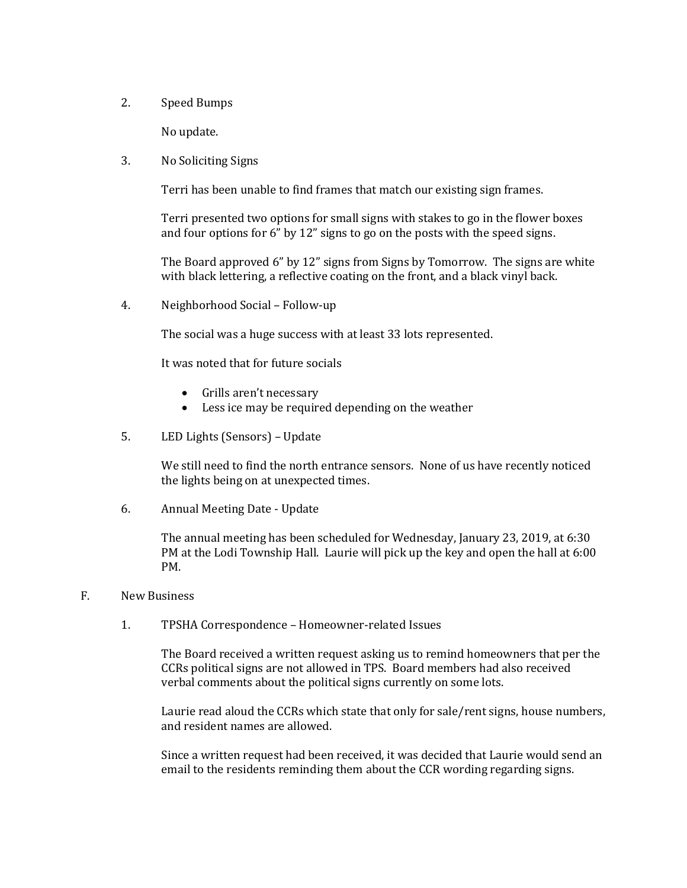2. Speed Bumps

No update.

3. No Soliciting Signs

Terri has been unable to find frames that match our existing sign frames.

Terri presented two options for small signs with stakes to go in the flower boxes and four options for 6" by 12" signs to go on the posts with the speed signs.

The Board approved 6" by 12" signs from Signs by Tomorrow. The signs are white with black lettering, a reflective coating on the front, and a black vinyl back.

4. Neighborhood Social – Follow-up

The social was a huge success with at least 33 lots represented.

It was noted that for future socials

- Grills aren't necessary
- Less ice may be required depending on the weather
- 5. LED Lights (Sensors) Update

We still need to find the north entrance sensors. None of us have recently noticed the lights being on at unexpected times.

6. Annual Meeting Date - Update

The annual meeting has been scheduled for Wednesday, January 23, 2019, at 6:30 PM at the Lodi Township Hall. Laurie will pick up the key and open the hall at 6:00 PM.

## F. New Business

1. TPSHA Correspondence – Homeowner-related Issues

The Board received a written request asking us to remind homeowners that per the CCRs political signs are not allowed in TPS. Board members had also received verbal comments about the political signs currently on some lots.

Laurie read aloud the CCRs which state that only for sale/rent signs, house numbers, and resident names are allowed.

Since a written request had been received, it was decided that Laurie would send an email to the residents reminding them about the CCR wording regarding signs.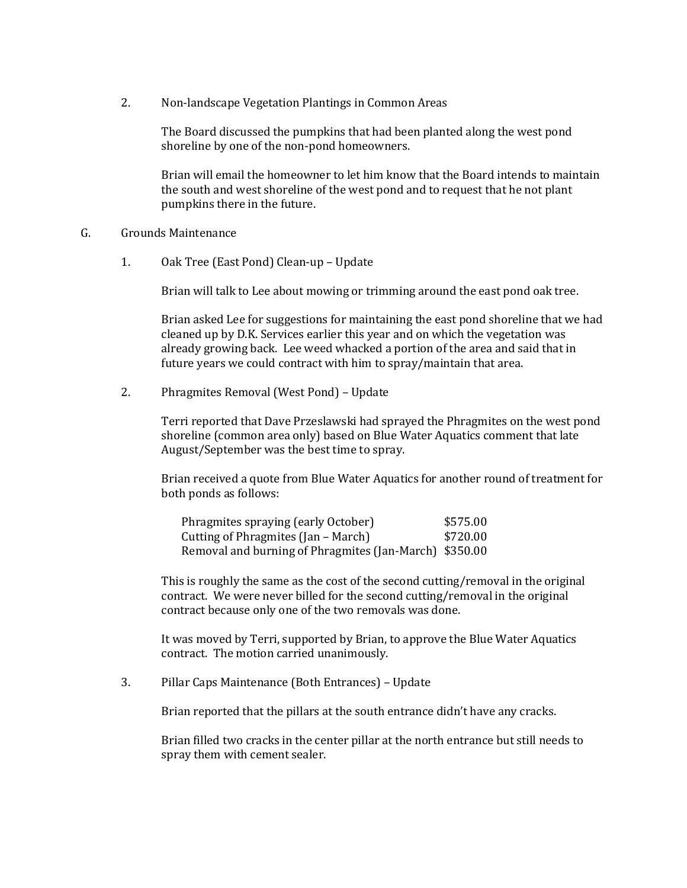2. Non-landscape Vegetation Plantings in Common Areas

The Board discussed the pumpkins that had been planted along the west pond shoreline by one of the non-pond homeowners.

Brian will email the homeowner to let him know that the Board intends to maintain the south and west shoreline of the west pond and to request that he not plant pumpkins there in the future.

- G. Grounds Maintenance
	- 1. Oak Tree (East Pond) Clean-up Update

Brian will talk to Lee about mowing or trimming around the east pond oak tree.

Brian asked Lee for suggestions for maintaining the east pond shoreline that we had cleaned up by D.K. Services earlier this year and on which the vegetation was already growing back. Lee weed whacked a portion of the area and said that in future years we could contract with him to spray/maintain that area.

2. Phragmites Removal (West Pond) – Update

Terri reported that Dave Przeslawski had sprayed the Phragmites on the west pond shoreline (common area only) based on Blue Water Aquatics comment that late August/September was the best time to spray.

Brian received a quote from Blue Water Aquatics for another round of treatment for both ponds as follows:

| Phragmites spraying (early October)                    | \$575.00 |
|--------------------------------------------------------|----------|
| Cutting of Phragmites (Jan – March)                    | \$720.00 |
| Removal and burning of Phragmites (Jan-March) \$350.00 |          |

This is roughly the same as the cost of the second cutting/removal in the original contract. We were never billed for the second cutting/removal in the original contract because only one of the two removals was done.

It was moved by Terri, supported by Brian, to approve the Blue Water Aquatics contract. The motion carried unanimously.

3. Pillar Caps Maintenance (Both Entrances) – Update

Brian reported that the pillars at the south entrance didn't have any cracks.

Brian filled two cracks in the center pillar at the north entrance but still needs to spray them with cement sealer.